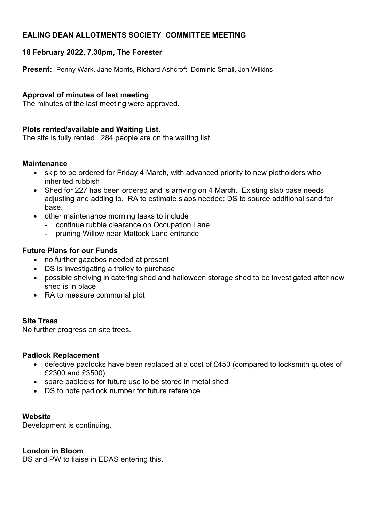# **EALING DEAN ALLOTMENTS SOCIETY COMMITTEE MEETING**

## **18 February 2022, 7.30pm, The Forester**

**Present:** Penny Wark, Jane Morris, Richard Ashcroft, Dominic Small, Jon Wilkins

# **Approval of minutes of last meeting**

The minutes of the last meeting were approved.

## **Plots rented/available and Waiting List.**

The site is fully rented. 284 people are on the waiting list.

#### **Maintenance**

- skip to be ordered for Friday 4 March, with advanced priority to new plotholders who inherited rubbish
- Shed for 227 has been ordered and is arriving on 4 March. Existing slab base needs adjusting and adding to. RA to estimate slabs needed; DS to source additional sand for base.
- other maintenance morning tasks to include
	- continue rubble clearance on Occupation Lane
	- pruning Willow near Mattock Lane entrance

### **Future Plans for our Funds**

- no further gazebos needed at present
- DS is investigating a trolley to purchase
- possible shelving in catering shed and halloween storage shed to be investigated after new shed is in place
- RA to measure communal plot

#### **Site Trees**

No further progress on site trees.

#### **Padlock Replacement**

- defective padlocks have been replaced at a cost of £450 (compared to locksmith quotes of £2300 and £3500)
- spare padlocks for future use to be stored in metal shed
- DS to note padlock number for future reference

#### **Website**

Development is continuing.

## **London in Bloom**

DS and PW to liaise in EDAS entering this.